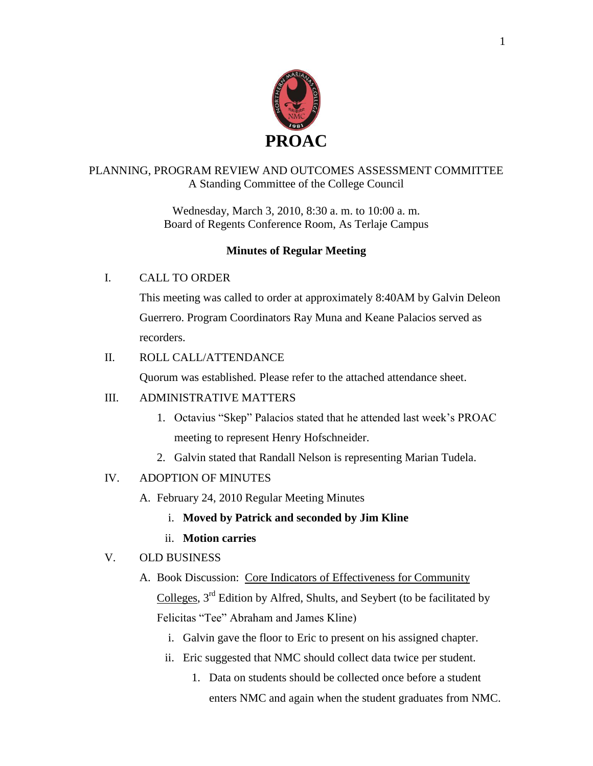

### PLANNING, PROGRAM REVIEW AND OUTCOMES ASSESSMENT COMMITTEE A Standing Committee of the College Council

Wednesday, March 3, 2010, 8:30 a. m. to 10:00 a. m. Board of Regents Conference Room, As Terlaje Campus

## **Minutes of Regular Meeting**

## I. CALL TO ORDER

This meeting was called to order at approximately 8:40AM by Galvin Deleon Guerrero. Program Coordinators Ray Muna and Keane Palacios served as recorders.

## II. ROLL CALL/ATTENDANCE

Quorum was established. Please refer to the attached attendance sheet.

### III. ADMINISTRATIVE MATTERS

- 1. Octavius "Skep" Palacios stated that he attended last week's PROAC meeting to represent Henry Hofschneider.
- 2. Galvin stated that Randall Nelson is representing Marian Tudela.

## IV. ADOPTION OF MINUTES

- A. February 24, 2010 Regular Meeting Minutes
	- i. **Moved by Patrick and seconded by Jim Kline**
	- ii. **Motion carries**

## V. OLD BUSINESS

# A. Book Discussion: Core Indicators of Effectiveness for Community Colleges,  $3<sup>rd</sup>$  Edition by Alfred, Shults, and Seybert (to be facilitated by Felicitas "Tee" Abraham and James Kline)

- i. Galvin gave the floor to Eric to present on his assigned chapter.
- ii. Eric suggested that NMC should collect data twice per student.
	- 1. Data on students should be collected once before a student enters NMC and again when the student graduates from NMC.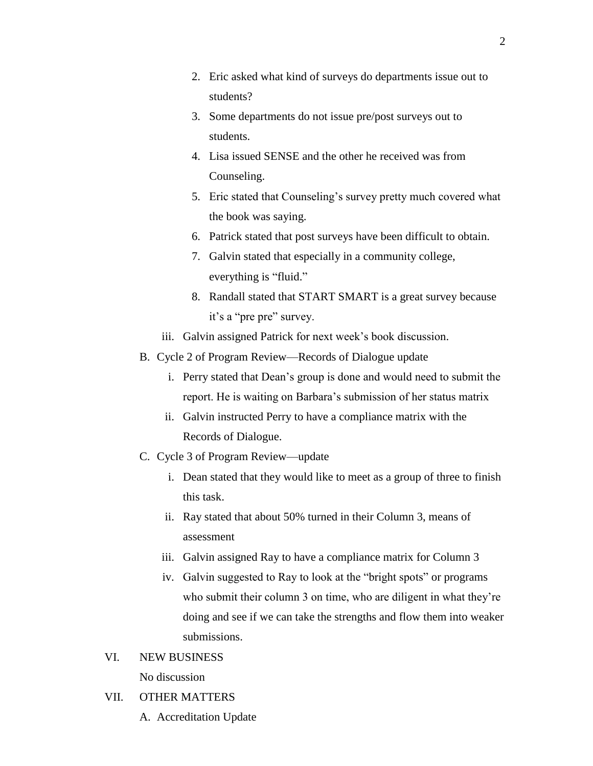- 2. Eric asked what kind of surveys do departments issue out to students?
- 3. Some departments do not issue pre/post surveys out to students.
- 4. Lisa issued SENSE and the other he received was from Counseling.
- 5. Eric stated that Counseling's survey pretty much covered what the book was saying.
- 6. Patrick stated that post surveys have been difficult to obtain.
- 7. Galvin stated that especially in a community college, everything is "fluid."
- 8. Randall stated that START SMART is a great survey because it's a "pre pre" survey.
- iii. Galvin assigned Patrick for next week's book discussion.
- B. Cycle 2 of Program Review—Records of Dialogue update
	- i. Perry stated that Dean's group is done and would need to submit the report. He is waiting on Barbara's submission of her status matrix
	- ii. Galvin instructed Perry to have a compliance matrix with the Records of Dialogue.
- C. Cycle 3 of Program Review—update
	- i. Dean stated that they would like to meet as a group of three to finish this task.
	- ii. Ray stated that about 50% turned in their Column 3, means of assessment
	- iii. Galvin assigned Ray to have a compliance matrix for Column 3
	- iv. Galvin suggested to Ray to look at the "bright spots" or programs who submit their column 3 on time, who are diligent in what they're doing and see if we can take the strengths and flow them into weaker submissions.

## VI. NEW BUSINESS No discussion

### VII. OTHER MATTERS

A. Accreditation Update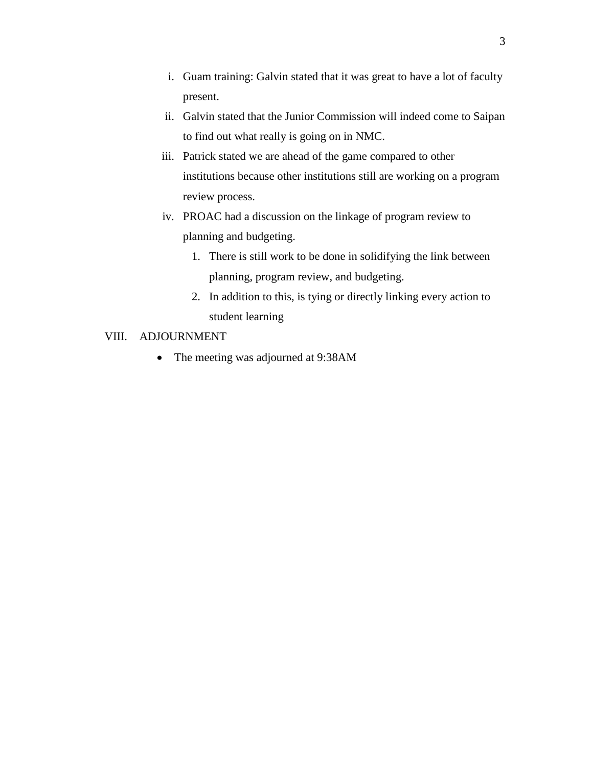- i. Guam training: Galvin stated that it was great to have a lot of faculty present.
- ii. Galvin stated that the Junior Commission will indeed come to Saipan to find out what really is going on in NMC.
- iii. Patrick stated we are ahead of the game compared to other institutions because other institutions still are working on a program review process.
- iv. PROAC had a discussion on the linkage of program review to planning and budgeting.
	- 1. There is still work to be done in solidifying the link between planning, program review, and budgeting.
	- 2. In addition to this, is tying or directly linking every action to student learning

### VIII. ADJOURNMENT

• The meeting was adjourned at 9:38AM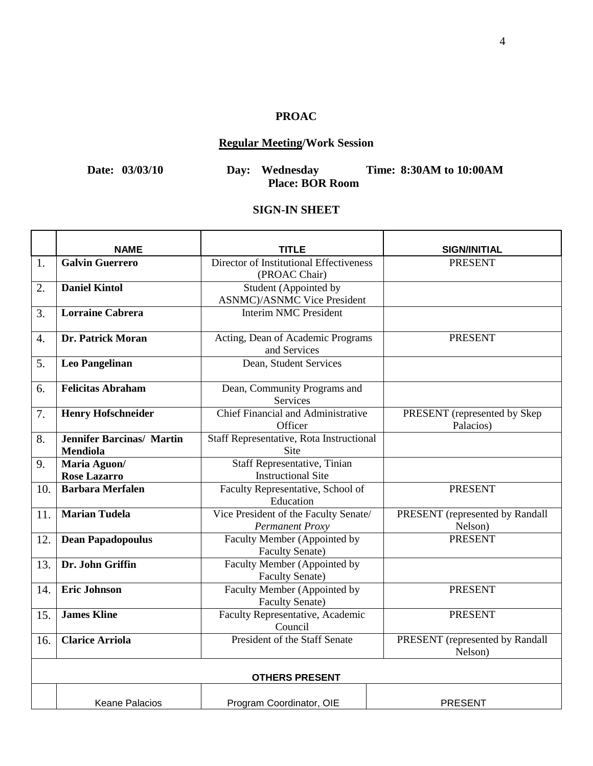## **PROAC**

## **Regular Meeting/Work Session**

**Date: 03/03/10 Day: Wednesday Time: 8:30AM to 10:00AM Place: BOR Room**

### **SIGN-IN SHEET**

|     | <b>NAME</b>                                         | <b>TITLE</b>                                                    | <b>SIGN/INITIAL</b>                        |  |  |
|-----|-----------------------------------------------------|-----------------------------------------------------------------|--------------------------------------------|--|--|
| 1.  | <b>Galvin Guerrero</b>                              | Director of Institutional Effectiveness<br>(PROAC Chair)        | <b>PRESENT</b>                             |  |  |
| 2.  | <b>Daniel Kintol</b>                                | Student (Appointed by<br><b>ASNMC</b> )/ASNMC Vice President    |                                            |  |  |
| 3.  | <b>Lorraine Cabrera</b>                             | <b>Interim NMC President</b>                                    |                                            |  |  |
| 4.  | Dr. Patrick Moran                                   | Acting, Dean of Academic Programs<br>and Services               | <b>PRESENT</b>                             |  |  |
| 5.  | <b>Leo Pangelinan</b>                               | Dean, Student Services                                          |                                            |  |  |
| 6.  | <b>Felicitas Abraham</b>                            | Dean, Community Programs and<br><b>Services</b>                 |                                            |  |  |
| 7.  | <b>Henry Hofschneider</b>                           | Chief Financial and Administrative<br>Officer                   | PRESENT (represented by Skep<br>Palacios)  |  |  |
| 8.  | <b>Jennifer Barcinas/ Martin</b><br><b>Mendiola</b> | Staff Representative, Rota Instructional<br>Site                |                                            |  |  |
| 9.  | Maria Aguon/<br><b>Rose Lazarro</b>                 | Staff Representative, Tinian<br><b>Instructional Site</b>       |                                            |  |  |
| 10. | <b>Barbara Merfalen</b>                             | Faculty Representative, School of<br>Education                  | <b>PRESENT</b>                             |  |  |
| 11. | <b>Marian Tudela</b>                                | Vice President of the Faculty Senate/<br><b>Permanent Proxy</b> | PRESENT (represented by Randall<br>Nelson) |  |  |
| 12. | <b>Dean Papadopoulus</b>                            | Faculty Member (Appointed by<br><b>Faculty Senate)</b>          | <b>PRESENT</b>                             |  |  |
| 13. | Dr. John Griffin                                    | Faculty Member (Appointed by<br><b>Faculty Senate)</b>          |                                            |  |  |
| 14. | <b>Eric Johnson</b>                                 | Faculty Member (Appointed by<br><b>Faculty Senate)</b>          | <b>PRESENT</b>                             |  |  |
| 15. | <b>James Kline</b>                                  | Faculty Representative, Academic<br>Council                     | <b>PRESENT</b>                             |  |  |
| 16. | <b>Clarice Arriola</b>                              | <b>President of the Staff Senate</b>                            | PRESENT (represented by Randall<br>Nelson) |  |  |
|     | <b>OTHERS PRESENT</b>                               |                                                                 |                                            |  |  |
|     | <b>Keane Palacios</b>                               | Program Coordinator, OIE                                        | <b>PRESENT</b>                             |  |  |